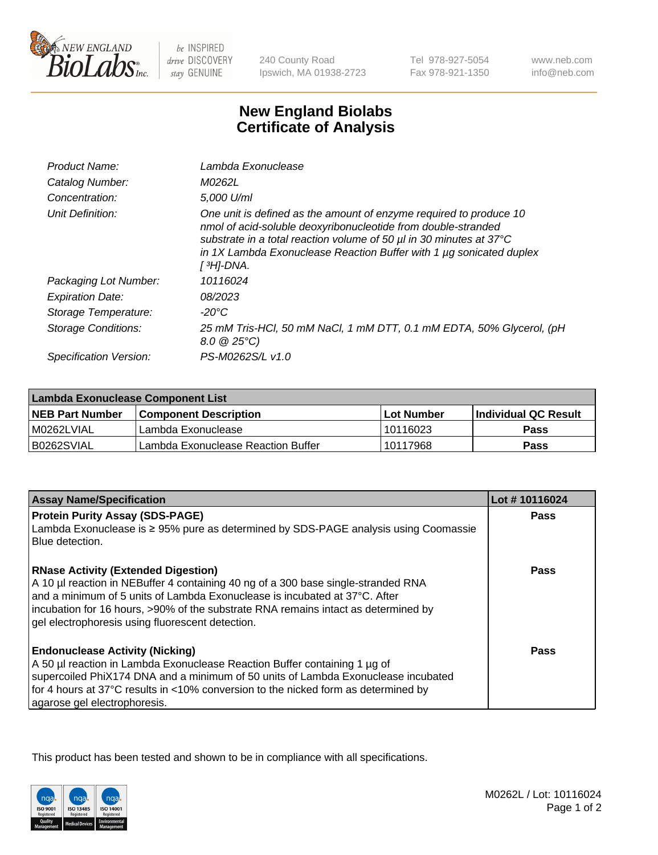

 $be$  INSPIRED drive DISCOVERY stay GENUINE

240 County Road Ipswich, MA 01938-2723

Tel 978-927-5054 Fax 978-921-1350 www.neb.com info@neb.com

## **New England Biolabs Certificate of Analysis**

| Product Name:           | Lambda Exonuclease                                                                                                                                                                                                                                                                                               |
|-------------------------|------------------------------------------------------------------------------------------------------------------------------------------------------------------------------------------------------------------------------------------------------------------------------------------------------------------|
| Catalog Number:         | M0262L                                                                                                                                                                                                                                                                                                           |
| Concentration:          | 5,000 U/ml                                                                                                                                                                                                                                                                                                       |
| Unit Definition:        | One unit is defined as the amount of enzyme required to produce 10<br>nmol of acid-soluble deoxyribonucleotide from double-stranded<br>substrate in a total reaction volume of 50 µl in 30 minutes at 37°C<br>in 1X Lambda Exonuclease Reaction Buffer with 1 $\mu$ g sonicated duplex<br>[ <sup>3</sup> H]-DNA. |
| Packaging Lot Number:   | 10116024                                                                                                                                                                                                                                                                                                         |
| <b>Expiration Date:</b> | 08/2023                                                                                                                                                                                                                                                                                                          |
| Storage Temperature:    | $-20^{\circ}$ C                                                                                                                                                                                                                                                                                                  |
| Storage Conditions:     | 25 mM Tris-HCl, 50 mM NaCl, 1 mM DTT, 0.1 mM EDTA, 50% Glycerol, (pH<br>$8.0 \ @ 25^{\circ}C$                                                                                                                                                                                                                    |
| Specification Version:  | PS-M0262S/L v1.0                                                                                                                                                                                                                                                                                                 |

| Lambda Exonuclease Component List |                                    |                   |                             |  |
|-----------------------------------|------------------------------------|-------------------|-----------------------------|--|
| <b>NEB Part Number</b>            | <b>Component Description</b>       | <b>Lot Number</b> | <b>Individual QC Result</b> |  |
| IM0262LVIAL                       | Lambda Exonuclease                 | 10116023          | <b>Pass</b>                 |  |
| IB0262SVIAL                       | Lambda Exonuclease Reaction Buffer | 10117968          | Pass                        |  |

| <b>Assay Name/Specification</b>                                                                                                                                                                                                                                                                                                                         | Lot #10116024 |
|---------------------------------------------------------------------------------------------------------------------------------------------------------------------------------------------------------------------------------------------------------------------------------------------------------------------------------------------------------|---------------|
| <b>Protein Purity Assay (SDS-PAGE)</b>                                                                                                                                                                                                                                                                                                                  | <b>Pass</b>   |
| Lambda Exonuclease is ≥ 95% pure as determined by SDS-PAGE analysis using Coomassie<br>Blue detection.                                                                                                                                                                                                                                                  |               |
| <b>RNase Activity (Extended Digestion)</b><br>A 10 µl reaction in NEBuffer 4 containing 40 ng of a 300 base single-stranded RNA<br>and a minimum of 5 units of Lambda Exonuclease is incubated at 37°C. After<br>incubation for 16 hours, >90% of the substrate RNA remains intact as determined by<br>gel electrophoresis using fluorescent detection. | Pass          |
| <b>Endonuclease Activity (Nicking)</b><br>A 50 µl reaction in Lambda Exonuclease Reaction Buffer containing 1 µg of<br>supercoiled PhiX174 DNA and a minimum of 50 units of Lambda Exonuclease incubated<br>for 4 hours at 37°C results in <10% conversion to the nicked form as determined by<br>agarose gel electrophoresis.                          | Pass          |

This product has been tested and shown to be in compliance with all specifications.